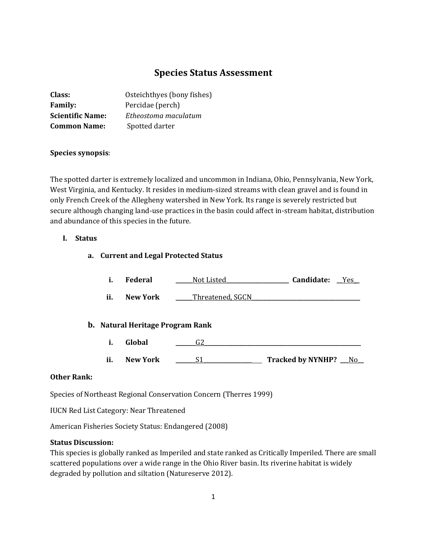# **Species Status Assessment**

| Class:                  | Osteichthyes (bony fishes) |  |
|-------------------------|----------------------------|--|
| <b>Family:</b>          | Percidae (perch)           |  |
| <b>Scientific Name:</b> | Etheostoma maculatum       |  |
| <b>Common Name:</b>     | Spotted darter             |  |

# **Species synopsis**:

The spotted darter is extremely localized and uncommon in Indiana, Ohio, Pennsylvania, New York, West Virginia, and Kentucky. It resides in medium-sized streams with clean gravel and is found in only French Creek of the Allegheny watershed in New York. Its range is severely restricted but secure although changing land-use practices in the basin could affect in-stream habitat, distribution and abundance of this species in the future.

# **I. Status**

### **a. Current and Legal Protected Status**

|  | Federal | Not Listed | Candidate: | Yes |
|--|---------|------------|------------|-----|
|--|---------|------------|------------|-----|

**ii. New York \_\_\_\_\_**Threatened, SGCN

## **b. Natural Heritage Program Rank**

- **i. Global \_\_\_\_\_\_\_**G2**\_\_\_\_\_\_\_\_\_\_\_\_\_\_\_\_\_\_\_\_\_\_\_\_\_\_\_\_\_\_\_\_\_\_\_\_\_\_\_\_\_\_\_\_\_\_\_\_\_\_\_\_\_\_\_**
- **ii. New York \_\_\_\_\_\_\_**S1**\_\_\_\_\_\_\_\_\_\_\_\_\_\_\_\_\_ Tracked by NYNHP? \_\_\_**No**\_\_**

# **Other Rank:**

Species of Northeast Regional Conservation Concern (Therres 1999)

IUCN Red List Category: Near Threatened

American Fisheries Society Status: Endangered (2008)

# **Status Discussion:**

This species is globally ranked as Imperiled and state ranked as Critically Imperiled. There are small scattered populations over a wide range in the Ohio River basin. Its riverine habitat is widely degraded by pollution and siltation (Natureserve 2012).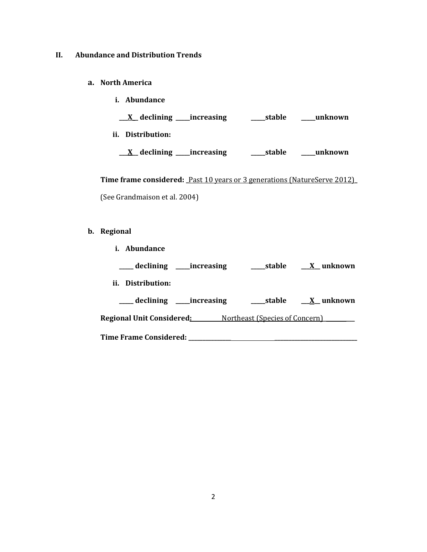#### **II. Abundance and Distribution Trends**

#### **a. North America**

**i. Abundance \_\_\_X\_\_ declining \_\_\_\_\_increasing \_\_\_\_\_stable \_\_\_\_\_unknown ii. Distribution:**

**\_\_\_X\_\_ declining \_\_\_\_\_increasing \_\_\_\_\_stable \_\_\_\_\_unknown**

**Time frame considered: \_**Past 10 years or 3 generations (NatureServe 2012)**\_** (See Grandmaison et al. 2004)

# **b. Regional**

**i. Abundance \_\_\_\_\_ declining \_\_\_\_\_increasing \_\_\_\_\_stable \_\_\_X\_\_ unknown ii. Distribution: \_\_\_\_\_ declining \_\_\_\_\_increasing \_\_\_\_\_stable \_\_\_X\_\_ unknown Regional Unit Considered:\_\_\_\_\_\_\_\_\_\_** Northeast (Species of Concern)**\_ \_\_\_ Time Frame Considered: \_\_\_\_\_\_\_\_\_\_\_\_\_\_\_ \_\_\_\_\_\_\_\_\_\_\_\_\_\_\_\_\_\_\_\_\_\_\_\_\_\_\_\_\_**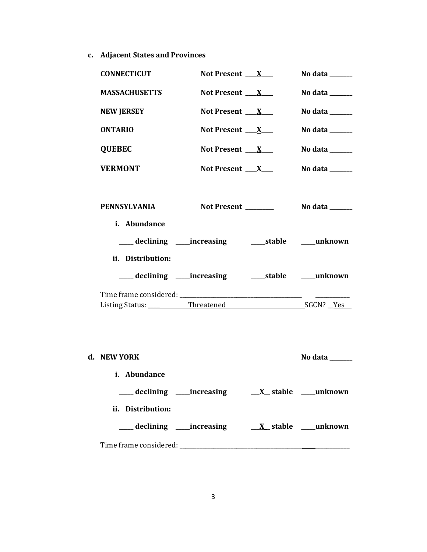**c. Adjacent States and Provinces**

| <b>CONNECTICUT</b>   | Not Present $\mathbf{X}$                                | No data $\_\_\_\_\_\_\_\_\_\_\_\$                                          |
|----------------------|---------------------------------------------------------|----------------------------------------------------------------------------|
| <b>MASSACHUSETTS</b> | Not Present $X_{-}$                                     | No data ______                                                             |
| <b>NEW JERSEY</b>    | Not Present $\mathbf{X}$                                | No data $\_\_\_\_\_\_\_\_\_\_\_\$                                          |
| <b>ONTARIO</b>       | Not Present $X_{-}$                                     | No data $\_\_\_\_\_\_\_\_\_\_\_\_\_\_\_\_\_\_\_\_\_\_\_\_\_\_\_\_\_\_\_\_$ |
| <b>QUEBEC</b>        | Not Present $X_{-}$                                     | No data ______                                                             |
| <b>VERMONT</b>       | Not Present $\mathbf{X}$                                | No data $\_\_\_\_\_\_\_\_\_\_\_\_\$                                        |
| PENNSYLVANIA         | Not Present _______                                     | No data $\_\_\_\_\_\_\_\_\_\_\_\_\$                                        |
| i. Abundance         |                                                         |                                                                            |
|                      | ___ declining ____increasing _______stable _____unknown |                                                                            |
| ii. Distribution:    |                                                         |                                                                            |
|                      |                                                         |                                                                            |
|                      |                                                         |                                                                            |
|                      |                                                         |                                                                            |
| d. NEW YORK          |                                                         | No data $\_\_$                                                             |
| i. Abundance         |                                                         |                                                                            |
|                      | ___ declining ____increasing                            | $\underline{X}$ stable ____unknown                                         |
| ii. Distribution:    |                                                         |                                                                            |
|                      | ____ declining _____increasing                          | $\underline{X}$ stable _____ unknown                                       |

Time frame considered: \_\_\_\_\_\_\_\_\_\_\_\_\_\_\_\_\_\_\_\_\_\_\_\_\_\_\_\_\_\_\_\_\_\_\_\_\_\_\_\_\_\_\_ \_\_\_\_\_\_\_\_\_\_\_\_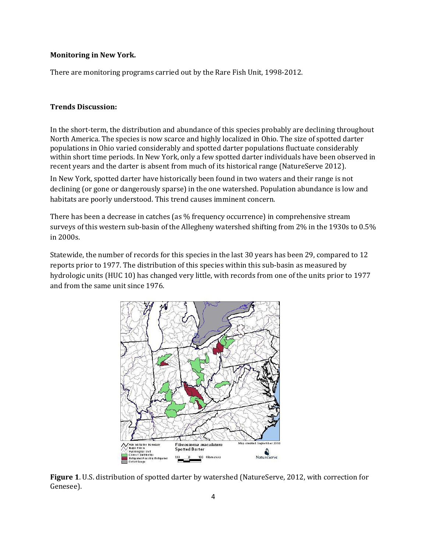## **Monitoring in New York.**

There are monitoring programs carried out by the Rare Fish Unit, 1998-2012.

## **Trends Discussion:**

In the short-term, the distribution and abundance of this species probably are declining throughout North America. The species is now scarce and highly localized in Ohio. The size of spotted darter populations in Ohio varied considerably and spotted darter populations fluctuate considerably within short time periods. In New York, only a few spotted darter individuals have been observed in recent years and the darter is absent from much of its historical range (NatureServe 2012).

In New York, spotted darter have historically been found in two waters and their range is not declining (or gone or dangerously sparse) in the one watershed. Population abundance is low and habitats are poorly understood. This trend causes imminent concern.

There has been a decrease in catches (as % frequency occurrence) in comprehensive stream surveys of this western sub-basin of the Allegheny watershed shifting from 2% in the 1930s to 0.5% in 2000s.

Statewide, the number of records for this species in the last 30 years has been 29, compared to 12 reports prior to 1977. The distribution of this species within this sub-basin as measured by hydrologic units (HUC 10) has changed very little, with records from one of the units prior to 1977 and from the same unit since 1976.



**Figure 1**. U.S. distribution of spotted darter by watershed (NatureServe, 2012, with correction for Genesee).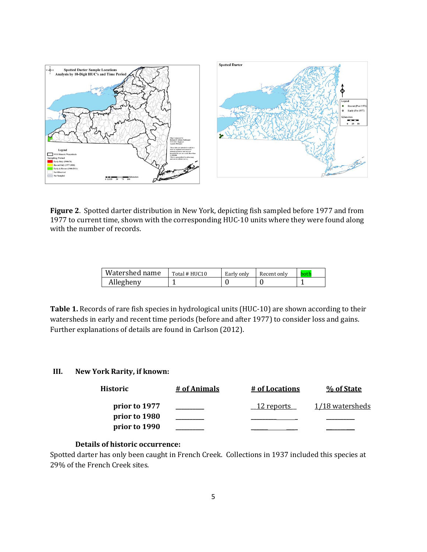

**Figure 2**. Spotted darter distribution in New York, depicting fish sampled before 1977 and from 1977 to current time, shown with the corresponding HUC-10 units where they were found along with the number of records.

| Watershed name | Total # HUC10 | Early only | Recent only | hoth |
|----------------|---------------|------------|-------------|------|
| Allegheny      |               |            |             |      |

**Table 1.** Records of rare fish species in hydrological units (HUC-10) are shown according to their watersheds in early and recent time periods (before and after 1977) to consider loss and gains. Further explanations of details are found in Carlson (2012).

# **III. New York Rarity, if known:**

| Historic      | # of Animals | # of Locations    | % of State      |
|---------------|--------------|-------------------|-----------------|
| prior to 1977 |              | <u>12 reports</u> | 1/18 watersheds |
| prior to 1980 |              |                   |                 |
| prior to 1990 |              |                   |                 |

# **Details of historic occurrence:**

Spotted darter has only been caught in French Creek. Collections in 1937 included this species at 29% of the French Creek sites.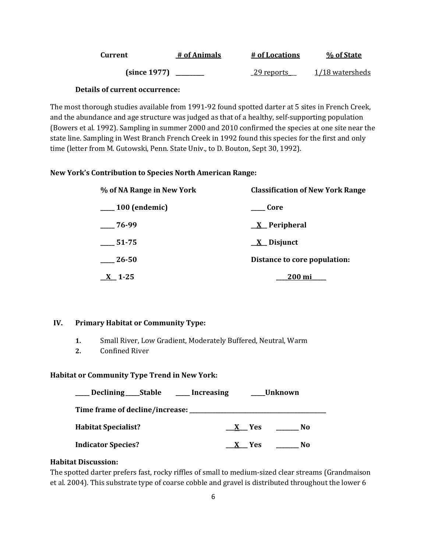| Current      | # of Animals | # of Locations     | % of State      |
|--------------|--------------|--------------------|-----------------|
| (since 1977) |              | <u>_29 reports</u> | 1/18 watersheds |

# **Details of current occurrence:**

The most thorough studies available from 1991-92 found spotted darter at 5 sites in French Creek, and the abundance and age structure was judged as that of a healthy, self-supporting population (Bowers et al. 1992). Sampling in summer 2000 and 2010 confirmed the species at one site near the state line. Sampling in West Branch French Creek in 1992 found this species for the first and only time (letter from M. Gutowski, Penn. State Univ., to D. Bouton, Sept 30, 1992).

# **New York's Contribution to Species North American Range:**

| % of NA Range in New York | <b>Classification of New York Range</b> |
|---------------------------|-----------------------------------------|
| $\frac{100}{2}$ (endemic) | Core                                    |
| $-76-99$                  | $X$ Peripheral                          |
| 51-75                     | $\underline{X}$ Disjunct                |
| 26-50                     | Distance to core population:            |
| $X$ 1-25                  | <u>200 mi</u>                           |

# **IV. Primary Habitat or Community Type:**

- **1.** Small River, Low Gradient, Moderately Buffered, Neutral, Warm
- **2.** Confined River

# **Habitat or Community Type Trend in New York:**

| Declining _____Stable           | Unknown<br>____ Increasing |  |
|---------------------------------|----------------------------|--|
| Time frame of decline/increase: |                            |  |
| <b>Habitat Specialist?</b>      | No<br>X Yes                |  |
| <b>Indicator Species?</b>       | No<br><b>Yes</b>           |  |

# **Habitat Discussion:**

The spotted darter prefers fast, rocky riffles of small to medium-sized clear streams (Grandmaison et al. 2004). This substrate type of coarse cobble and gravel is distributed throughout the lower 6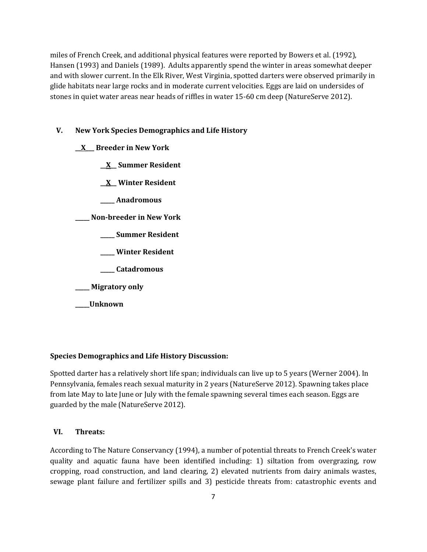miles of French Creek, and additional physical features were reported by Bowers et al. (1992), Hansen (1993) and Daniels (1989). Adults apparently spend the winter in areas somewhat deeper and with slower current. In the Elk River, West Virginia, spotted darters were observed primarily in glide habitats near large rocks and in moderate current velocities. Eggs are laid on undersides of stones in quiet water areas near heads of riffles in water 15-60 cm deep (NatureServe 2012).

#### **V. New York Species Demographics and Life History**

- **\_\_X\_\_\_ Breeder in New York**
	- **\_\_X\_\_ Summer Resident**
	- **\_\_X\_\_ Winter Resident**
	- **\_\_\_\_\_ Anadromous**

**\_\_\_\_\_ Non-breeder in New York**

- **\_\_\_\_\_ Summer Resident**
- **\_\_\_\_\_ Winter Resident**
- **\_\_\_\_\_ Catadromous**
- **\_\_\_\_\_ Migratory only**
- **\_\_\_\_\_Unknown**

#### **Species Demographics and Life History Discussion:**

Spotted darter has a relatively short life span; individuals can live up to 5 years (Werner 2004). In Pennsylvania, females reach sexual maturity in 2 years (NatureServe 2012). Spawning takes place from late May to late June or July with the female spawning several times each season. Eggs are guarded by the male (NatureServe 2012).

# **VI. Threats:**

According to The Nature Conservancy (1994), a number of potential threats to French Creek's water quality and aquatic fauna have been identified including: 1) siltation from overgrazing, row cropping, road construction, and land clearing, 2) elevated nutrients from dairy animals wastes, sewage plant failure and fertilizer spills and 3) pesticide threats from: catastrophic events and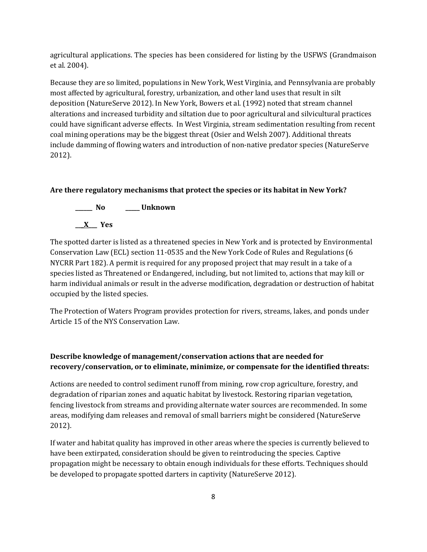agricultural applications. The species has been considered for listing by the USFWS (Grandmaison et al. 2004).

Because they are so limited, populations in New York, West Virginia, and Pennsylvania are probably most affected by agricultural, forestry, urbanization, and other land uses that result in silt deposition (NatureServe 2012). In New York, Bowers et al. (1992) noted that stream channel alterations and increased turbidity and siltation due to poor agricultural and silvicultural practices could have significant adverse effects. In West Virginia, stream sedimentation resulting from recent coal mining operations may be the biggest threat (Osier and Welsh 2007). Additional threats include damming of flowing waters and introduction of non-native predator species (NatureServe 2012).

# **Are there regulatory mechanisms that protect the species or its habitat in New York?**



The spotted darter is listed as a threatened species in New York and is protected by Environmental Conservation Law (ECL) section 11-0535 and the New York Code of Rules and Regulations (6 NYCRR Part 182). A permit is required for any proposed project that may result in a take of a species listed as Threatened or Endangered, including, but not limited to, actions that may kill or harm individual animals or result in the adverse modification, degradation or destruction of habitat occupied by the listed species.

The Protection of Waters Program provides protection for rivers, streams, lakes, and ponds under Article 15 of the NYS Conservation Law.

# **Describe knowledge of management/conservation actions that are needed for recovery/conservation, or to eliminate, minimize, or compensate for the identified threats:**

Actions are needed to control sediment runoff from mining, row crop agriculture, forestry, and degradation of riparian zones and aquatic habitat by livestock. Restoring riparian vegetation, fencing livestock from streams and providing alternate water sources are recommended. In some areas, modifying dam releases and removal of small barriers might be considered (NatureServe 2012).

If water and habitat quality has improved in other areas where the species is currently believed to have been extirpated, consideration should be given to reintroducing the species. Captive propagation might be necessary to obtain enough individuals for these efforts. Techniques should be developed to propagate spotted darters in captivity (NatureServe 2012).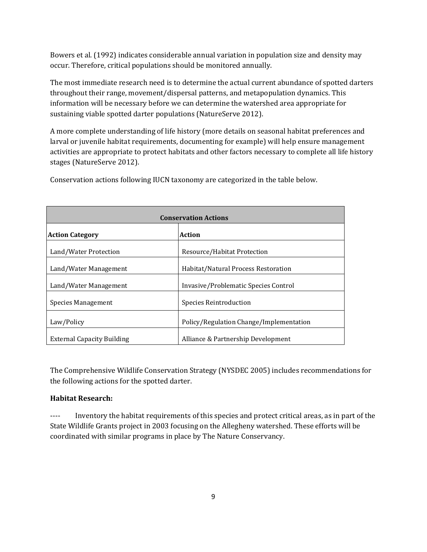Bowers et al. (1992) indicates considerable annual variation in population size and density may occur. Therefore, critical populations should be monitored annually.

The most immediate research need is to determine the actual current abundance of spotted darters throughout their range, movement/dispersal patterns, and metapopulation dynamics. This information will be necessary before we can determine the watershed area appropriate for sustaining viable spotted darter populations (NatureServe 2012).

A more complete understanding of life history (more details on seasonal habitat preferences and larval or juvenile habitat requirements, documenting for example) will help ensure management activities are appropriate to protect habitats and other factors necessary to complete all life history stages (NatureServe 2012).

**Conservation Actions Action Category Action** Land/Water Protection Resource/Habitat Protection Land/Water Management Habitat/Natural Process Restoration Land/Water Management **Invasive/Problematic Species Control** Species Management Species Reintroduction Law/Policy **Policy** Policy/Regulation Change/Implementation External Capacity Building Alliance & Partnership Development

Conservation actions following IUCN taxonomy are categorized in the table below.

The Comprehensive Wildlife Conservation Strategy (NYSDEC 2005) includes recommendations for the following actions for the spotted darter.

# **Habitat Research:**

---- Inventory the habitat requirements of this species and protect critical areas, as in part of the State Wildlife Grants project in 2003 focusing on the Allegheny watershed. These efforts will be coordinated with similar programs in place by The Nature Conservancy.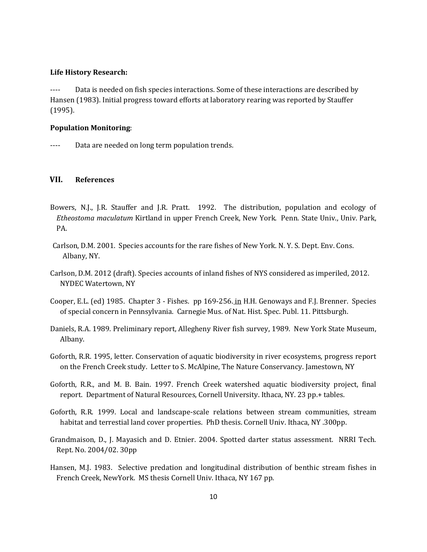#### **Life History Research:**

---- Data is needed on fish species interactions. Some of these interactions are described by Hansen (1983). Initial progress toward efforts at laboratory rearing was reported by Stauffer (1995).

## **Population Monitoring**:

---- Data are needed on long term population trends.

# **VII. References**

- Bowers, N.J., J.R. Stauffer and J.R. Pratt. 1992. The distribution, population and ecology of *Etheostoma maculatum* Kirtland in upper French Creek, New York. Penn. State Univ., Univ. Park, PA.
- Carlson, D.M. 2001. Species accounts for the rare fishes of New York. N. Y. S. Dept. Env. Cons. Albany, NY.
- Carlson, D.M. 2012 (draft). Species accounts of inland fishes of NYS considered as imperiled, 2012. NYDEC Watertown, NY
- Cooper, E.L. (ed) 1985. Chapter 3 Fishes. pp 169-256. in H.H. Genoways and F.J. Brenner. Species of special concern in Pennsylvania. Carnegie Mus. of Nat. Hist. Spec. Publ. 11. Pittsburgh.
- Daniels, R.A. 1989. Preliminary report, Allegheny River fish survey, 1989. New York State Museum, Albany.
- Goforth, R.R. 1995, letter. Conservation of aquatic biodiversity in river ecosystems, progress report on the French Creek study. Letter to S. McAlpine, The Nature Conservancy. Jamestown, NY
- Goforth, R.R., and M. B. Bain. 1997. French Creek watershed aquatic biodiversity project, final report. Department of Natural Resources, Cornell University. Ithaca, NY. 23 pp.+ tables.
- Goforth, R.R. 1999. Local and landscape-scale relations between stream communities, stream habitat and terrestial land cover properties. PhD thesis. Cornell Univ. Ithaca, NY .300pp.
- Grandmaison, D., J. Mayasich and D. Etnier. 2004. Spotted darter status assessment. NRRI Tech. Rept. No. 2004/02. 30pp
- Hansen, M.J. 1983. Selective predation and longitudinal distribution of benthic stream fishes in French Creek, NewYork. MS thesis Cornell Univ. Ithaca, NY 167 pp.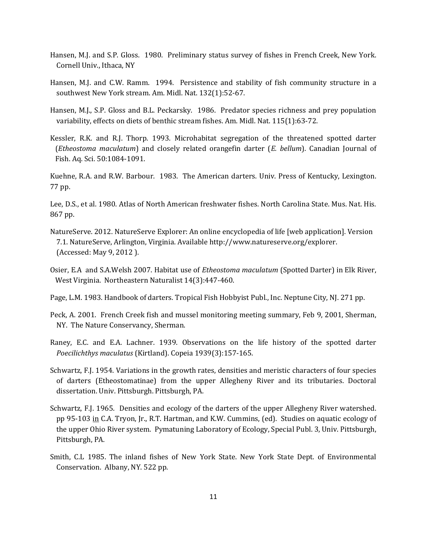- Hansen, M.J. and S.P. Gloss. 1980. Preliminary status survey of fishes in French Creek, New York. Cornell Univ., Ithaca, NY
- Hansen, M.J. and C.W. Ramm. 1994. Persistence and stability of fish community structure in a southwest New York stream. Am. Midl. Nat. 132(1):52-67.
- Hansen, M.J., S.P. Gloss and B.L. Peckarsky. 1986. Predator species richness and prey population variability, effects on diets of benthic stream fishes. Am. Midl. Nat. 115(1):63-72.
- Kessler, R.K. and R.J. Thorp. 1993. Microhabitat segregation of the threatened spotted darter (*Etheostoma maculatum*) and closely related orangefin darter (*E. bellum*). Canadian Journal of Fish. Aq. Sci. 50:1084-1091.

Kuehne, R.A. and R.W. Barbour. 1983. The American darters. Univ. Press of Kentucky, Lexington. 77 pp.

Lee, D.S., et al. 1980. Atlas of North American freshwater fishes. North Carolina State. Mus. Nat. His. 867 pp.

- NatureServe. 2012. NatureServe Explorer: An online encyclopedia of life [web application]. Version 7.1. NatureServe, Arlington, Virginia. Available http://www.natureserve.org/explorer. (Accessed: May 9, 2012 ).
- Osier, E.A and S.A.Welsh 2007. Habitat use of *Etheostoma maculatum* (Spotted Darter) in Elk River, West Virginia. Northeastern Naturalist 14(3):447-460.
- Page, L.M. 1983. Handbook of darters. Tropical Fish Hobbyist Publ., Inc. Neptune City, NJ. 271 pp.
- Peck, A. 2001. French Creek fish and mussel monitoring meeting summary, Feb 9, 2001, Sherman, NY. The Nature Conservancy, Sherman.
- Raney, E.C. and E.A. Lachner. 1939. Observations on the life history of the spotted darter *Poecilichthys maculatus* (Kirtland). Copeia 1939(3):157-165.
- Schwartz, F.J. 1954. Variations in the growth rates, densities and meristic characters of four species of darters (Etheostomatinae) from the upper Allegheny River and its tributaries. Doctoral dissertation. Univ. Pittsburgh. Pittsburgh, PA.
- Schwartz, F.J. 1965. Densities and ecology of the darters of the upper Allegheny River watershed. pp 95-103 in C.A. Tryon, Jr., R.T. Hartman, and K.W. Cummins, (ed). Studies on aquatic ecology of the upper Ohio River system. Pymatuning Laboratory of Ecology, Special Publ. 3, Univ. Pittsburgh, Pittsburgh, PA.
- Smith, C.L 1985. The inland fishes of New York State. New York State Dept. of Environmental Conservation. Albany, NY. 522 pp.